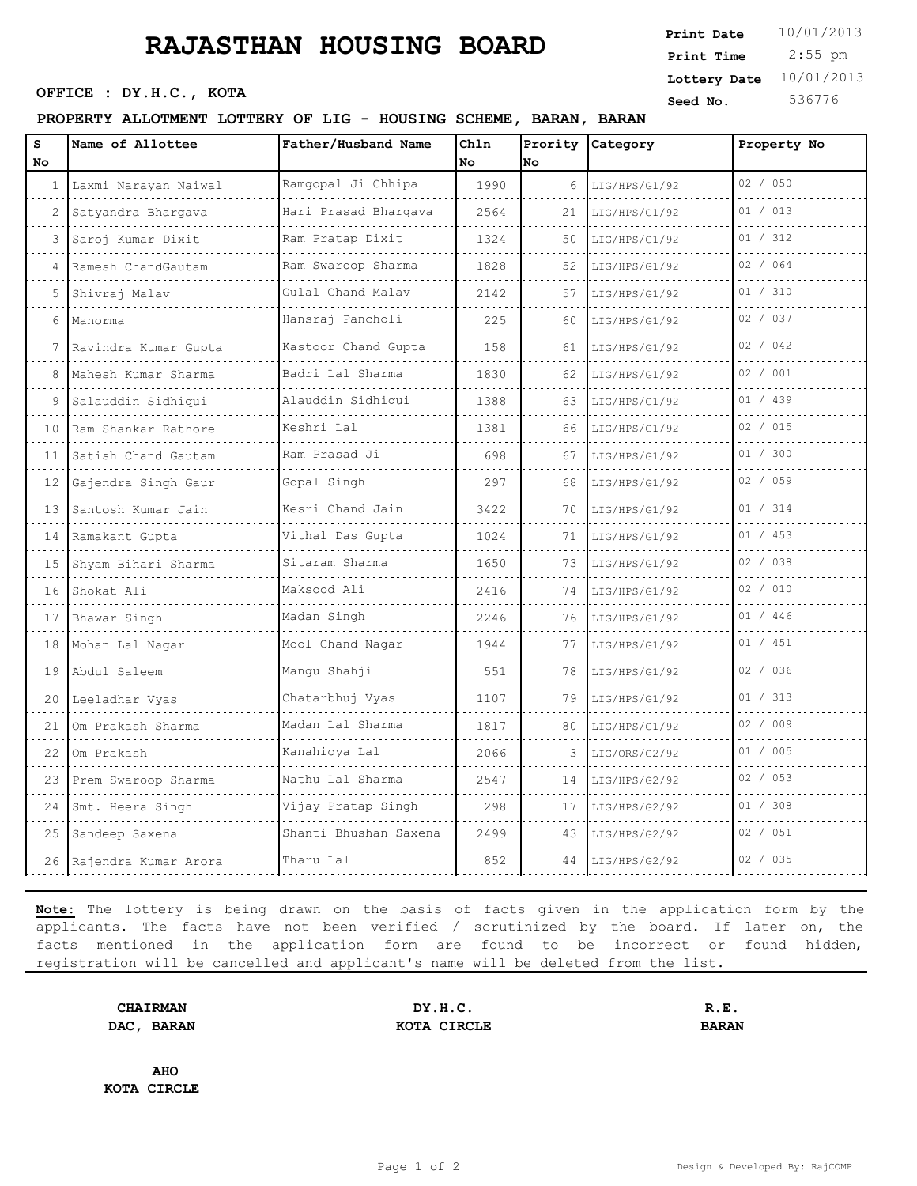# **RAJASTHAN HOUSING BOARD** Print pate 10/01/2013

**Seed No.** 536776 **OFFICE : DY.H.C., KOTA** 

#### **PROPERTY ALLOTMENT LOTTERY OF LIG - HOUSING SCHEME, BARAN, BARAN**

| Print Date   | 10/01/2013 |
|--------------|------------|
| Print Time   | $2:55$ pm  |
| Lottery Date | 10/01/2013 |

| s<br>No         | Name of Allottee        | Father/Husband Name     | Chln<br>No | No | Prority Category | Property No |
|-----------------|-------------------------|-------------------------|------------|----|------------------|-------------|
|                 | 1 Laxmi Narayan Naiwal  | Ramgopal Ji Chhipa      | 1990       | 6  | LIG/HPS/G1/92    | 02 / 050    |
| 2               | Satyandra Bhargava      | Hari Prasad Bhargava    | 2564       | 21 | LIG/HPS/G1/92    | 01 / 013    |
|                 | Saroj Kumar Dixit       | .<br>Ram Pratap Dixit   | 1324       | 50 | LIG/HPS/G1/92    | 01 / 312    |
| 4               | Ramesh ChandGautam      | .<br>Ram Swaroop Sharma | 1828       | 52 | LIG/HPS/G1/92    | 02 / 064    |
| 5.              | Shivraj Malav           | Gulal Chand Malav       | 2142       | 57 | LIG/HPS/G1/92    | 01 / 310    |
| 6               |                         | .<br>Hansraj Pancholi   | 225        | 60 |                  | 02 / 037    |
|                 | Manorma                 |                         |            |    | LIG/HPS/G1/92    | 02 / 042    |
| 7               | Ravindra Kumar Gupta    | Kastoor Chand Gupta     | 158        | 61 | LIG/HPS/G1/92    | 02 / 001    |
| 8               | Mahesh Kumar Sharma     | Badri Lal Sharma<br>.   | 1830       | 62 | LIG/HPS/G1/92    |             |
|                 | Salauddin Sidhiqui<br>. | Alauddin Sidhiqui       | 1388       | 63 | LIG/HPS/G1/92    | 01 / 439    |
| 10              | Ram Shankar Rathore     | Keshri Lal              | 1381       | 66 | LIG/HPS/G1/92    | 02 / 015    |
| 11              | Satish Chand Gautam     | Ram Prasad Ji           | 698        | 67 | LIG/HPS/G1/92    | 01 / 300    |
| 12 <sup>1</sup> | Gajendra Singh Gaur     | Gopal Singh             | 297        | 68 | LIG/HPS/G1/92    | 02 / 059    |
| 13              | Santosh Kumar Jain      | Kesri Chand Jain        | 3422       | 70 | LIG/HPS/G1/92    | 01 / 314    |
| 14              | Ramakant Gupta          | Vithal Das Gupta        | 1024       | 71 | LIG/HPS/G1/92    | 01 / 453    |
| 15              | Shyam Bihari Sharma     | Sitaram Sharma          | 1650       | 73 | LIG/HPS/G1/92    | 02 / 038    |
| 16              | Shokat Ali              | Maksood Ali             | 2416       | 74 | LIG/HPS/G1/92    | 02 / 010    |
| 17              | Bhawar Singh            | Madan Singh             | 2246       | 76 | LIG/HPS/G1/92    | 01 / 446    |
| 18              | Mohan Lal Nagar         | Mool Chand Nagar        | 1944       | 77 | LIG/HPS/G1/92    | 01 / 451    |
| 19              | Abdul Saleem            | Mangu Shahji            | 551        | 78 | LIG/HPS/G1/92    | 02 / 036    |
| 20              | Leeladhar Vyas          | Chatarbhuj Vyas         | 1107       | 79 | LIG/HPS/G1/92    | 01 / 313    |
| 21              | Om Prakash Sharma       | Madan Lal Sharma        | 1817       | 80 | LIG/HPS/G1/92    | 02 / 009    |
| 22              | Om Prakash              | Kanahioya Lal           | 2066       | 3  | LIG/ORS/G2/92    | 01 / 005    |
| 23              | Prem Swaroop Sharma     | Nathu Lal Sharma        | 2547       | 14 | LIG/HPS/G2/92    | 02 / 053    |
| 24              | Smt. Heera Singh        | Vijay Pratap Singh      | 298        | 17 | LIG/HPS/G2/92    | 01 / 308    |
| 25              | Sandeep Saxena          | Shanti Bhushan Saxena   | 2499       | 43 | LIG/HPS/G2/92    | 02 / 051    |
| 26              | Rajendra Kumar Arora    | Tharu Lal               | 852        | 44 | LIG/HPS/G2/92    | 02 / 035    |

**Note:** The lottery is being drawn on the basis of facts given in the application form by the applicants. The facts have not been verified / scrutinized by the board. If later on, the facts mentioned in the application form are found to be incorrect or found hidden, registration will be cancelled and applicant's name will be deleted from the list.

**CHAIRMAN DY.H.C. R.E. DAC, BARAN BARAN KOTA CIRCLE BARAN** 

**AHO KOTA CIRCLE**